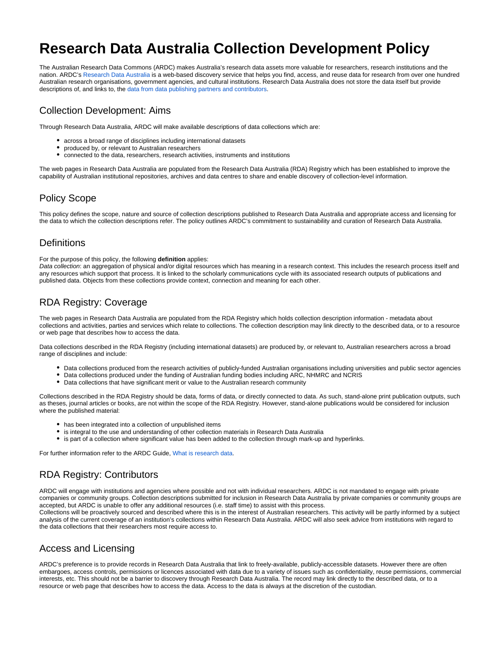# **Research Data Australia Collection Development Policy**

The Australian Research Data Commons (ARDC) makes Australia's research data assets more valuable for researchers, research institutions and the nation. ARDC's [Research Data Australia](http://researchdata.ands.org.au/) is a web-based discovery service that helps you find, access, and reuse data for research from over one hundred Australian research organisations, government agencies, and cultural institutions. Research Data Australia does not store the data itself but provide descriptions of, and links to, the [data from data publishing partners and contributors.](https://researchdata.ands.org.au/contributors)

#### Collection Development: Aims

Through Research Data Australia, ARDC will make available descriptions of data collections which are:

- across a broad range of disciplines including international datasets
- produced by, or relevant to Australian researchers
- connected to the data, researchers, research activities, instruments and institutions

The web pages in Research Data Australia are populated from the Research Data Australia (RDA) Registry which has been established to improve the capability of Australian institutional repositories, archives and data centres to share and enable discovery of collection-level information.

## Policy Scope

This policy defines the scope, nature and source of collection descriptions published to Research Data Australia and appropriate access and licensing for the data to which the collection descriptions refer. The policy outlines ARDC's commitment to sustainability and curation of Research Data Australia.

#### **Definitions**

For the purpose of this policy, the following **definition** applies:

Data collection: an aggregation of physical and/or digital resources which has meaning in a research context. This includes the research process itself and any resources which support that process. It is linked to the scholarly communications cycle with its associated research outputs of publications and published data. Objects from these collections provide context, connection and meaning for each other.

#### RDA Registry: Coverage

The web pages in Research Data Australia are populated from the RDA Registry which holds collection description information - metadata about collections and activities, parties and services which relate to collections. The collection description may link directly to the described data, or to a resource or web page that describes how to access the data.

Data collections described in the RDA Registry (including international datasets) are produced by, or relevant to, Australian researchers across a broad range of disciplines and include:

- Data collections produced from the research activities of publicly-funded Australian organisations including universities and public sector agencies
- Data collections produced under the funding of Australian funding bodies including ARC, NHMRC and NCRIS
- Data collections that have significant merit or value to the Australian research community

Collections described in the RDA Registry should be data, forms of data, or directly connected to data. As such, stand-alone print publication outputs, such as theses, journal articles or books, are not within the scope of the RDA Registry. However, stand-alone publications would be considered for inclusion where the published material:

- has been integrated into a collection of unpublished items
- is integral to the use and understanding of other collection materials in Research Data Australia
- is part of a collection where significant value has been added to the collection through mark-up and hyperlinks.

For further information refer to the ARDC Guide, [What is research data](https://www.ands.org.au/guides/what-is-research-data).

## RDA Registry: Contributors

ARDC will engage with institutions and agencies where possible and not with individual researchers. ARDC is not mandated to engage with private companies or community groups. Collection descriptions submitted for inclusion in Research Data Australia by private companies or community groups are accepted, but ARDC is unable to offer any additional resources (i.e. staff time) to assist with this process.

Collections will be proactively sourced and described where this is in the interest of Australian researchers. This activity will be partly informed by a subject analysis of the current coverage of an institution's collections within Research Data Australia. ARDC will also seek advice from institutions with regard to the data collections that their researchers most require access to.

## Access and Licensing

ARDC's preference is to provide records in Research Data Australia that link to freely-available, publicly-accessible datasets. However there are often embargoes, access controls, permissions or licences associated with data due to a variety of issues such as confidentiality, reuse permissions, commercial interests, etc. This should not be a barrier to discovery through Research Data Australia. The record may link directly to the described data, or to a resource or web page that describes how to access the data. Access to the data is always at the discretion of the custodian.